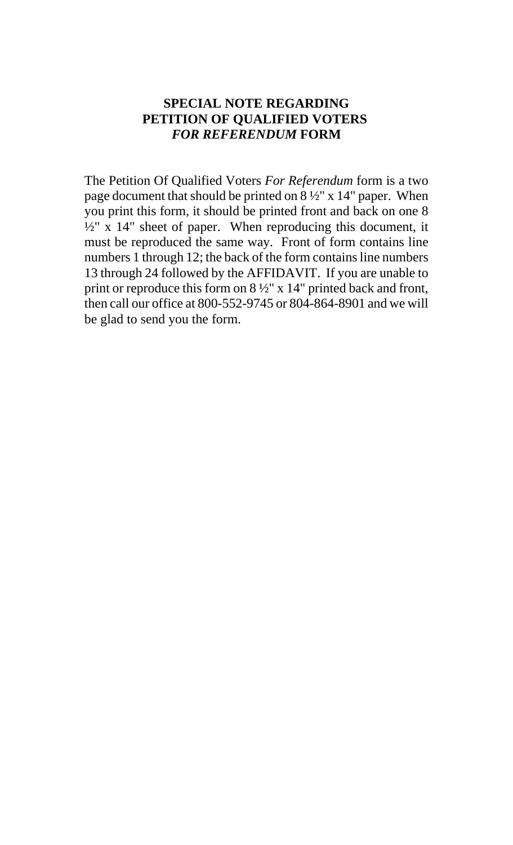## **SPECIAL NOTE REGARDING PETITION OF QUALIFIED VOTERS**  *FOR REFERENDUM* **FORM**

The Petition Of Qualified Voters *For Referendum* form is a two page document that should be printed on 8 ½" x 14" paper. When you print this form, it should be printed front and back on one 8  $\frac{1}{2}$ " x 14" sheet of paper. When reproducing this document, it must be reproduced the same way. Front of form contains line numbers 1 through 12; the back of the form contains line numbers 13 through 24 followed by the AFFIDAVIT. If you are unable to print or reproduce this form on  $8\frac{1}{2}$ " x 14" printed back and front, then call our office at 800-552-9745 or 804-864-8901 and we will be glad to send you the form.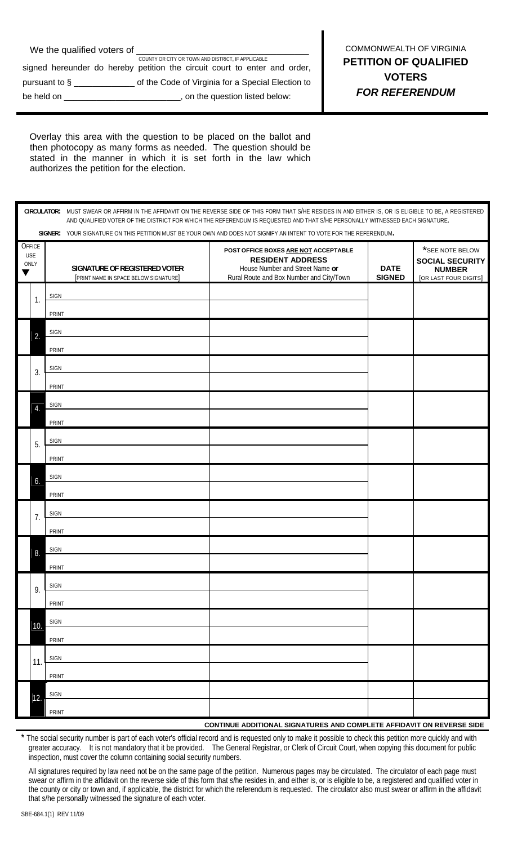| We the qualified voters of |                                                                           |
|----------------------------|---------------------------------------------------------------------------|
|                            | COUNTY OR CITY OR TOWN AND DISTRICT. IF APPLICABLE                        |
|                            | signed hereunder do hereby petition the circuit court to enter and order, |
|                            | _ of the Code of Virginia for a Special Election to                       |
| be held on                 | , on the question listed below:                                           |
|                            |                                                                           |

I

Overlay this area with the question to be placed on the ballot and then photocopy as many forms as needed. The question should be stated in the manner in which it is set forth in the law which authorizes the petition for the election.

|   | CIRCULATOR: MUST SWEAR OR AFFIRM IN THE AFFIDAVIT ON THE REVERSE SIDE OF THIS FORM THAT S/HE RESIDES IN AND EITHER IS, OR IS ELIGIBLE TO BE, A REGISTERED<br>AND QUALIFIED VOTER OF THE DISTRICT FOR WHICH THE REFERENDUM IS REQUESTED AND THAT S/HE PERSONALLY WITNESSED EACH SIGNATURE. |                                                                        |                                                                                                                                                |                              |                                                                                            |  |  |
|---|-------------------------------------------------------------------------------------------------------------------------------------------------------------------------------------------------------------------------------------------------------------------------------------------|------------------------------------------------------------------------|------------------------------------------------------------------------------------------------------------------------------------------------|------------------------------|--------------------------------------------------------------------------------------------|--|--|
|   | SIGNER: YOUR SIGNATURE ON THIS PETITION MUST BE YOUR OWN AND DOES NOT SIGNIFY AN INTENT TO VOTE FOR THE REFERENDUM.                                                                                                                                                                       |                                                                        |                                                                                                                                                |                              |                                                                                            |  |  |
| v | OFFICE<br><b>USE</b><br>ONLY                                                                                                                                                                                                                                                              | SIGNATURE OF REGISTERED VOTER<br>[PRINT NAME IN SPACE BELOW SIGNATURE] | POST OFFICE BOXES ARE NOT ACCEPTABLE<br><b>RESIDENT ADDRESS</b><br>House Number and Street Name or<br>Rural Route and Box Number and City/Town | <b>DATE</b><br><b>SIGNED</b> | $\star$ SEE NOTE BELOW<br><b>SOCIAL SECURITY</b><br><b>NUMBER</b><br>[OR LAST FOUR DIGITS] |  |  |
|   | 1.                                                                                                                                                                                                                                                                                        | <b>SIGN</b><br>PRINT                                                   |                                                                                                                                                |                              |                                                                                            |  |  |
|   | 2.                                                                                                                                                                                                                                                                                        | <b>SIGN</b><br>PRINT                                                   |                                                                                                                                                |                              |                                                                                            |  |  |
|   | 3.                                                                                                                                                                                                                                                                                        | <b>SIGN</b><br>PRINT                                                   |                                                                                                                                                |                              |                                                                                            |  |  |
|   | 4.                                                                                                                                                                                                                                                                                        | SIGN<br>PRINT                                                          |                                                                                                                                                |                              |                                                                                            |  |  |
|   | 5.                                                                                                                                                                                                                                                                                        | <b>SIGN</b><br>PRINT                                                   |                                                                                                                                                |                              |                                                                                            |  |  |
|   | 6.                                                                                                                                                                                                                                                                                        | SIGN<br>PRINT                                                          |                                                                                                                                                |                              |                                                                                            |  |  |
|   | 7.                                                                                                                                                                                                                                                                                        | <b>SIGN</b><br>PRINT                                                   |                                                                                                                                                |                              |                                                                                            |  |  |
|   | 8.                                                                                                                                                                                                                                                                                        | <b>SIGN</b><br>PRINT                                                   |                                                                                                                                                |                              |                                                                                            |  |  |
|   | 9.                                                                                                                                                                                                                                                                                        | <b>SIGN</b><br>PRINT                                                   |                                                                                                                                                |                              |                                                                                            |  |  |
|   | 10.                                                                                                                                                                                                                                                                                       | <b>SIGN</b><br>PRINT                                                   |                                                                                                                                                |                              |                                                                                            |  |  |
|   | 11.                                                                                                                                                                                                                                                                                       | <b>SIGN</b><br>PRINT                                                   |                                                                                                                                                |                              |                                                                                            |  |  |
|   | 12.                                                                                                                                                                                                                                                                                       | <b>SIGN</b>                                                            |                                                                                                                                                |                              |                                                                                            |  |  |
|   |                                                                                                                                                                                                                                                                                           | PRINT                                                                  |                                                                                                                                                |                              |                                                                                            |  |  |
|   | CONTINUE ADDITIONAL SIGNATURES AND COMPLETE AFFIDAVIT ON REVERSE SIDE                                                                                                                                                                                                                     |                                                                        |                                                                                                                                                |                              |                                                                                            |  |  |

The social security number is part of each voter's official record and is requested only to make it possible to check this petition more quickly and with greater accuracy. It is not mandatory that it be provided. The General Registrar, or Clerk of Circuit Court, when copying this document for public inspection, must cover the column containing social security numbers.

All signatures required by law need not be on the same page of the petition. Numerous pages may be circulated. The circulator of each page must swear or affirm in the affidavit on the reverse side of this form that s/he resides in, and either is, or is eligible to be, a registered and qualified voter in the county or city or town and, if applicable, the district for which the referendum is requested. The circulator also must swear or affirm in the affidavit that s/he personally witnessed the signature of each voter.